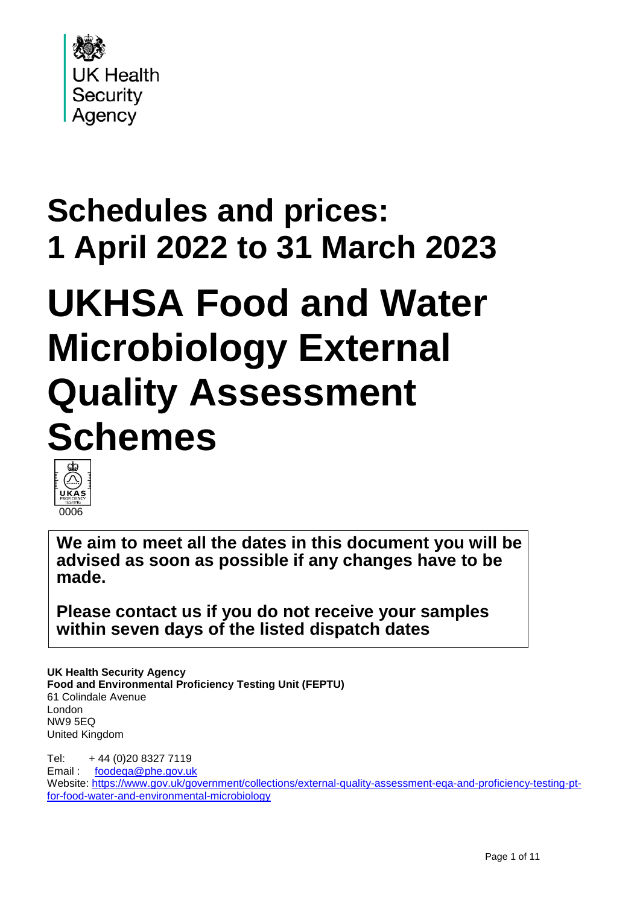

# **Schedules and prices: 1 April 2022 to 31 March 2023**

# **UKHSA Food and Water Microbiology External Quality Assessment Schemes**



**We aim to meet all the dates in this document you will be advised as soon as possible if any changes have to be made.**

**Please contact us if you do not receive your samples within seven days of the listed dispatch dates** 

**UK Health Security Agency Food and Environmental Proficiency Testing Unit (FEPTU)** 61 Colindale Avenue London NW9 5EQ United Kingdom

Tel: + 44 (0)20 8327 7119 Email : [foodeqa@phe.gov.uk](mailto:foodeqa@phe.gov.uk) Website: [https://www.gov.uk/government/collections/external-quality-assessment-eqa-and-proficiency-testing-pt](https://www.gov.uk/government/collections/external-quality-assessment-eqa-and-proficiency-testing-pt-for-food-water-and-environmental-microbiology)[for-food-water-and-environmental-microbiology](https://www.gov.uk/government/collections/external-quality-assessment-eqa-and-proficiency-testing-pt-for-food-water-and-environmental-microbiology)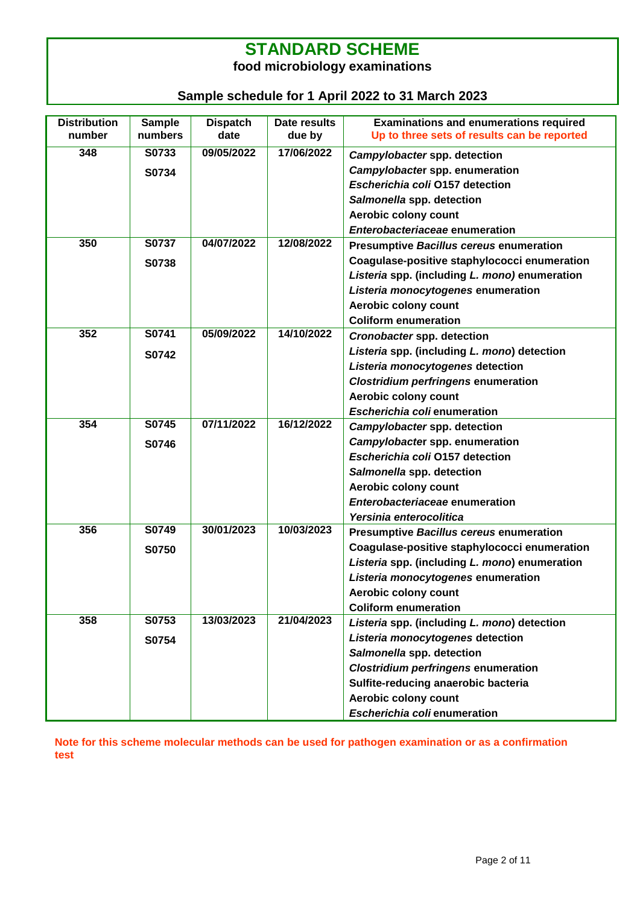#### **STANDARD SCHEME food microbiology examinations**

#### **Sample schedule for 1 April 2022 to 31 March 2023**

| <b>Distribution</b><br>number | <b>Sample</b><br>numbers | <b>Dispatch</b><br>date | Date results<br>due by | <b>Examinations and enumerations required</b><br>Up to three sets of results can be reported |
|-------------------------------|--------------------------|-------------------------|------------------------|----------------------------------------------------------------------------------------------|
| 348                           | S0733                    | 09/05/2022              | 17/06/2022             | Campylobacter spp. detection                                                                 |
|                               | S0734                    |                         |                        | Campylobacter spp. enumeration                                                               |
|                               |                          |                         |                        | Escherichia coli O157 detection                                                              |
|                               |                          |                         |                        | Salmonella spp. detection                                                                    |
|                               |                          |                         |                        | Aerobic colony count                                                                         |
|                               |                          |                         |                        | Enterobacteriaceae enumeration                                                               |
| 350                           | S0737                    | 04/07/2022              | 12/08/2022             | <b>Presumptive Bacillus cereus enumeration</b>                                               |
|                               | S0738                    |                         |                        | Coagulase-positive staphylococci enumeration                                                 |
|                               |                          |                         |                        | Listeria spp. (including L. mono) enumeration                                                |
|                               |                          |                         |                        | Listeria monocytogenes enumeration                                                           |
|                               |                          |                         |                        | Aerobic colony count                                                                         |
|                               |                          |                         |                        | <b>Coliform enumeration</b>                                                                  |
| 352                           | S0741                    | 05/09/2022              | 14/10/2022             | Cronobacter spp. detection                                                                   |
|                               |                          |                         |                        | Listeria spp. (including L. mono) detection                                                  |
|                               | S0742                    |                         |                        | Listeria monocytogenes detection                                                             |
|                               |                          |                         |                        | <b>Clostridium perfringens enumeration</b>                                                   |
|                               |                          |                         |                        | Aerobic colony count                                                                         |
|                               |                          |                         |                        | Escherichia coli enumeration                                                                 |
| 354                           | S0745                    | 07/11/2022              | 16/12/2022             | Campylobacter spp. detection                                                                 |
|                               | S0746                    |                         |                        | Campylobacter spp. enumeration                                                               |
|                               |                          |                         |                        | Escherichia coli 0157 detection                                                              |
|                               |                          |                         |                        | Salmonella spp. detection                                                                    |
|                               |                          |                         |                        | Aerobic colony count                                                                         |
|                               |                          |                         |                        | Enterobacteriaceae enumeration                                                               |
|                               |                          |                         |                        | Yersinia enterocolitica                                                                      |
| 356                           | S0749                    | 30/01/2023              | 10/03/2023             | <b>Presumptive Bacillus cereus enumeration</b>                                               |
|                               | S0750                    |                         |                        | Coagulase-positive staphylococci enumeration                                                 |
|                               |                          |                         |                        | Listeria spp. (including L. mono) enumeration                                                |
|                               |                          |                         |                        | Listeria monocytogenes enumeration                                                           |
|                               |                          |                         |                        | Aerobic colony count                                                                         |
|                               |                          |                         |                        | <b>Coliform enumeration</b>                                                                  |
| 358                           | S0753                    | 13/03/2023              | 21/04/2023             | Listeria spp. (including L. mono) detection                                                  |
|                               | S0754                    |                         |                        | Listeria monocytogenes detection                                                             |
|                               |                          |                         |                        | Salmonella spp. detection                                                                    |
|                               |                          |                         |                        | <b>Clostridium perfringens enumeration</b>                                                   |
|                               |                          |                         |                        | Sulfite-reducing anaerobic bacteria                                                          |
|                               |                          |                         |                        | Aerobic colony count                                                                         |
|                               |                          |                         |                        | Escherichia coli enumeration                                                                 |

**Note for this scheme molecular methods can be used for pathogen examination or as a confirmation test**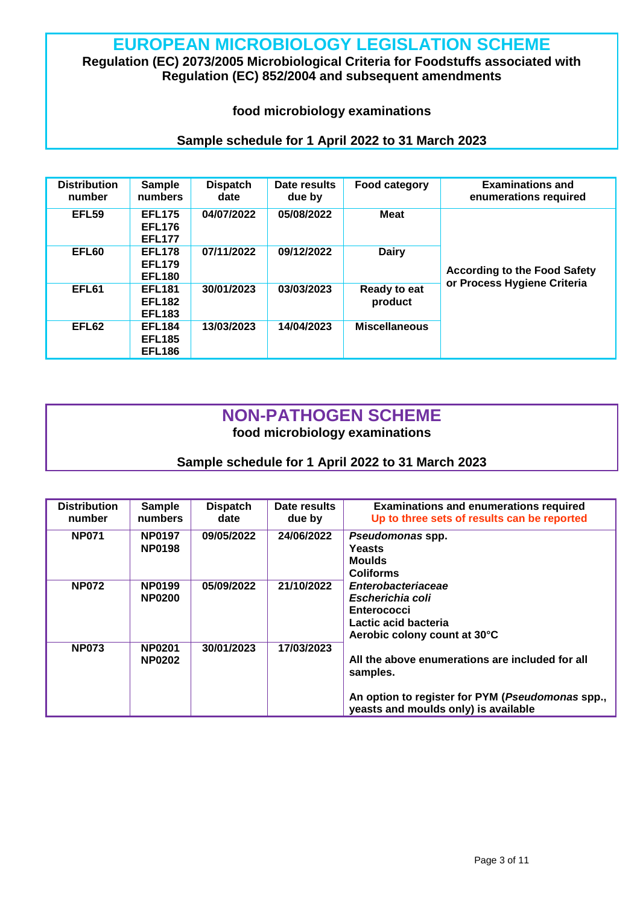### **EUROPEAN MICROBIOLOGY LEGISLATION SCHEME**

#### **Regulation (EC) 2073/2005 Microbiological Criteria for Foodstuffs associated with Regulation (EC) 852/2004 and subsequent amendments**

#### **food microbiology examinations**

#### **Sample schedule for 1 April 2022 to 31 March 2023**

| <b>Distribution</b><br>number | <b>Sample</b><br>numbers                        | <b>Dispatch</b><br>date | Date results<br>due by | Food category           | <b>Examinations and</b><br>enumerations required |
|-------------------------------|-------------------------------------------------|-------------------------|------------------------|-------------------------|--------------------------------------------------|
| EFL59                         | <b>EFL175</b><br><b>EFL176</b><br><b>EFL177</b> | 04/07/2022              | 05/08/2022             | <b>Meat</b>             |                                                  |
| EFL60                         | <b>EFL178</b><br><b>EFL179</b><br><b>EFL180</b> | 07/11/2022              | 09/12/2022             | <b>Dairy</b>            | <b>According to the Food Safety</b>              |
| EFL61                         | <b>EFL181</b><br><b>EFL182</b><br><b>EFL183</b> | 30/01/2023              | 03/03/2023             | Ready to eat<br>product | or Process Hygiene Criteria                      |
| EFL62                         | <b>EFL184</b><br><b>EFL185</b><br><b>EFL186</b> | 13/03/2023              | 14/04/2023             | <b>Miscellaneous</b>    |                                                  |

#### **NON-PATHOGEN SCHEME food microbiology examinations**

| <b>Distribution</b><br>number | <b>Sample</b><br>numbers       | <b>Dispatch</b><br>date | Date results<br>due by | <b>Examinations and enumerations required</b><br>Up to three sets of results can be reported                                                            |
|-------------------------------|--------------------------------|-------------------------|------------------------|---------------------------------------------------------------------------------------------------------------------------------------------------------|
| <b>NP071</b>                  | <b>NP0197</b><br><b>NP0198</b> | 09/05/2022              | 24/06/2022             | Pseudomonas spp.<br><b>Yeasts</b><br><b>Moulds</b><br><b>Coliforms</b>                                                                                  |
| <b>NP072</b>                  | <b>NP0199</b><br><b>NP0200</b> | 05/09/2022              | 21/10/2022             | <b>Enterobacteriaceae</b><br>Escherichia coli<br><b>Enterococci</b><br>Lactic acid bacteria<br>Aerobic colony count at 30°C                             |
| <b>NP073</b>                  | <b>NP0201</b><br><b>NP0202</b> | 30/01/2023              | 17/03/2023             | All the above enumerations are included for all<br>samples.<br>An option to register for PYM (Pseudomonas spp.,<br>yeasts and moulds only) is available |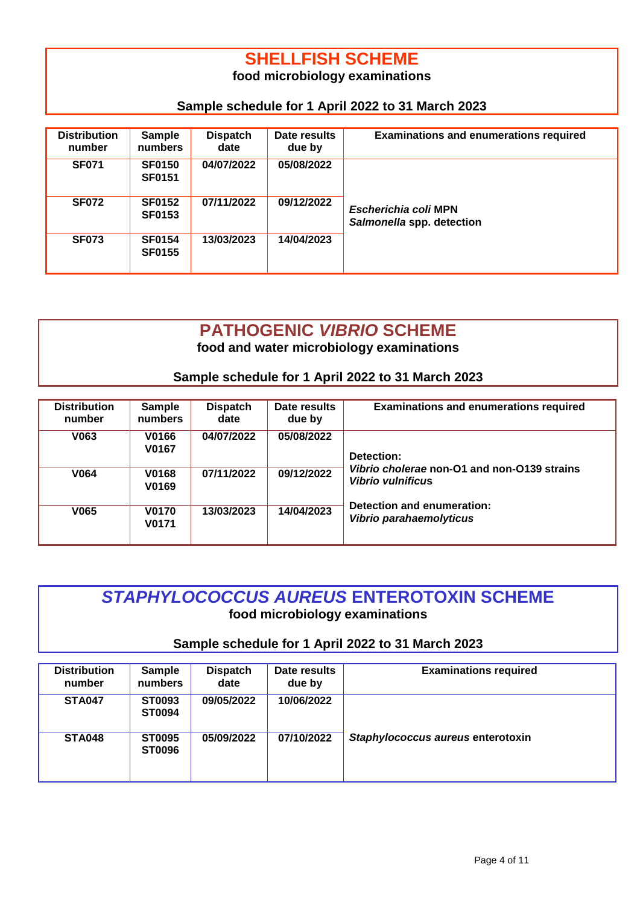# **SHELLFISH SCHEME**

**food microbiology examinations**

#### **Sample schedule for 1 April 2022 to 31 March 2023**

| <b>Distribution</b><br>number | <b>Sample</b><br>numbers       | <b>Dispatch</b><br>date | Date results<br>due by | <b>Examinations and enumerations required</b>     |
|-------------------------------|--------------------------------|-------------------------|------------------------|---------------------------------------------------|
| <b>SF071</b>                  | <b>SF0150</b><br><b>SF0151</b> | 04/07/2022              | 05/08/2022             |                                                   |
| <b>SF072</b>                  | <b>SF0152</b><br><b>SF0153</b> | 07/11/2022              | 09/12/2022             | Escherichia coli MPN<br>Salmonella spp. detection |
| <b>SF073</b>                  | <b>SF0154</b><br><b>SF0155</b> | 13/03/2023              | 14/04/2023             |                                                   |

#### **PATHOGENIC** *VIBRIO* **SCHEME food and water microbiology examinations**

**Sample schedule for 1 April 2022 to 31 March 2023**

| <b>Distribution</b><br>number | <b>Sample</b><br>numbers | <b>Dispatch</b><br>date | Date results<br>due by | <b>Examinations and enumerations required</b>                           |
|-------------------------------|--------------------------|-------------------------|------------------------|-------------------------------------------------------------------------|
| V063                          | V0166<br>V0167           | 04/07/2022              | 05/08/2022             | Detection:                                                              |
| V064                          | <b>V0168</b><br>V0169    | 07/11/2022              | 09/12/2022             | Vibrio cholerae non-O1 and non-O139 strains<br><b>Vibrio vulnificus</b> |
| V065                          | <b>V0170</b><br>V0171    | 13/03/2023              | 14/04/2023             | Detection and enumeration:<br>Vibrio parahaemolyticus                   |

#### *STAPHYLOCOCCUS AUREUS* **ENTEROTOXIN SCHEME food microbiology examinations**

| <b>Distribution</b><br>number | <b>Sample</b><br>numbers       | <b>Dispatch</b><br>date | Date results<br>due by | <b>Examinations required</b>      |
|-------------------------------|--------------------------------|-------------------------|------------------------|-----------------------------------|
| <b>STA047</b>                 | ST0093<br><b>ST0094</b>        | 09/05/2022              | 10/06/2022             |                                   |
| <b>STA048</b>                 | <b>ST0095</b><br><b>ST0096</b> | 05/09/2022              | 07/10/2022             | Staphylococcus aureus enterotoxin |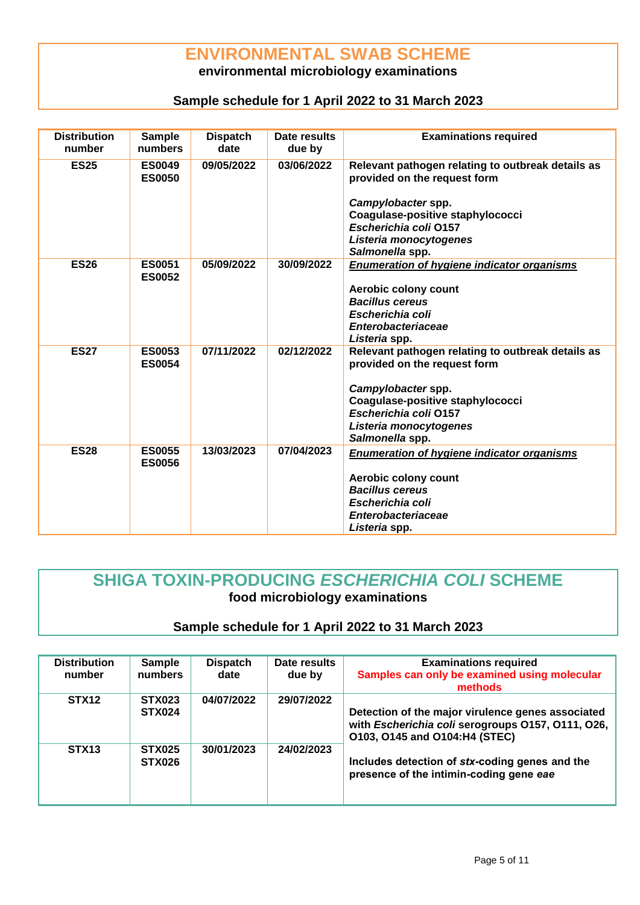#### **ENVIRONMENTAL SWAB SCHEME**

#### **environmental microbiology examinations**

#### **Sample schedule for 1 April 2022 to 31 March 2023**

| <b>Distribution</b><br>number | <b>Sample</b><br>numbers       | <b>Dispatch</b><br>date | Date results<br>due by | <b>Examinations required</b>                                                                                                                                                                                      |
|-------------------------------|--------------------------------|-------------------------|------------------------|-------------------------------------------------------------------------------------------------------------------------------------------------------------------------------------------------------------------|
| <b>ES25</b>                   | <b>ES0049</b><br><b>ES0050</b> | 09/05/2022              | 03/06/2022             | Relevant pathogen relating to outbreak details as<br>provided on the request form<br>Campylobacter spp.<br>Coagulase-positive staphylococci<br>Escherichia coli 0157<br>Listeria monocytogenes<br>Salmonella spp. |
| <b>ES26</b>                   | <b>ES0051</b><br><b>ES0052</b> | 05/09/2022              | 30/09/2022             | <b>Enumeration of hygiene indicator organisms</b><br>Aerobic colony count<br><b>Bacillus cereus</b><br>Escherichia coli<br><b>Enterobacteriaceae</b><br>Listeria spp.                                             |
| <b>ES27</b>                   | <b>ES0053</b><br><b>ES0054</b> | 07/11/2022              | 02/12/2022             | Relevant pathogen relating to outbreak details as<br>provided on the request form<br>Campylobacter spp.<br>Coagulase-positive staphylococci<br>Escherichia coli 0157<br>Listeria monocytogenes<br>Salmonella spp. |
| <b>ES28</b>                   | <b>ES0055</b><br><b>ES0056</b> | 13/03/2023              | 07/04/2023             | <b>Enumeration of hygiene indicator organisms</b><br>Aerobic colony count<br><b>Bacillus cereus</b><br>Escherichia coli<br><b>Enterobacteriaceae</b><br>Listeria spp.                                             |

#### **SHIGA TOXIN-PRODUCING** *ESCHERICHIA COLI* **SCHEME food microbiology examinations**

| <b>Distribution</b><br>number | <b>Sample</b><br>numbers       | <b>Dispatch</b><br>date | Date results<br>due by | <b>Examinations required</b><br>Samples can only be examined using molecular<br>methods                                                 |
|-------------------------------|--------------------------------|-------------------------|------------------------|-----------------------------------------------------------------------------------------------------------------------------------------|
| STX <sub>12</sub>             | <b>STX023</b><br><b>STX024</b> | 04/07/2022              | 29/07/2022             | Detection of the major virulence genes associated<br>with Escherichia coli serogroups 0157, 0111, 026,<br>0103, 0145 and 0104:H4 (STEC) |
| STX <sub>13</sub>             | <b>STX025</b><br><b>STX026</b> | 30/01/2023              | 24/02/2023             | Includes detection of stx-coding genes and the<br>presence of the intimin-coding gene eae                                               |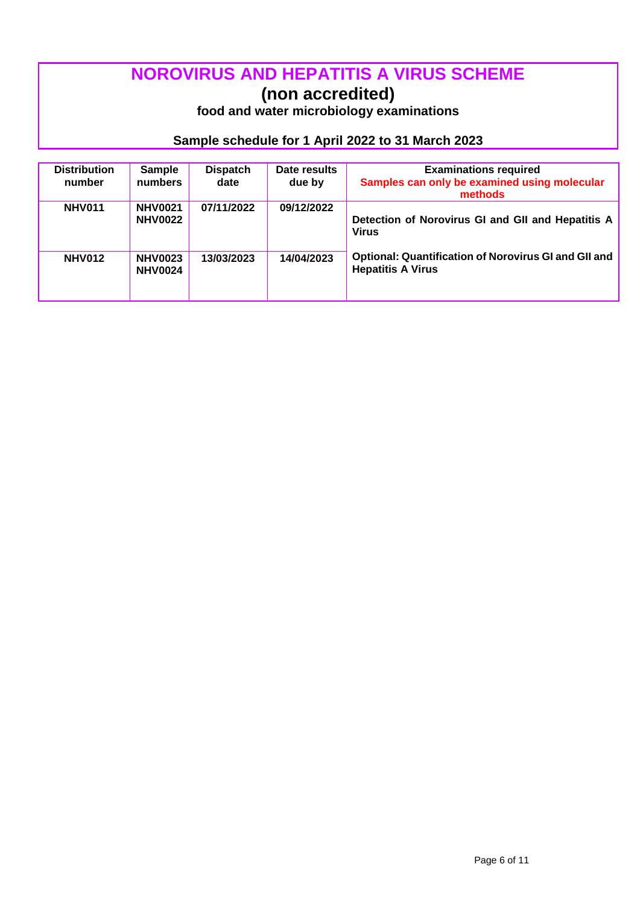# **NOROVIRUS AND HEPATITIS A VIRUS SCHEME**

**(non accredited)**

**food and water microbiology examinations**

| <b>Distribution</b><br>number | <b>Sample</b><br>numbers         | <b>Dispatch</b><br>date | Date results<br>due by | <b>Examinations required</b><br>Samples can only be examined using molecular<br>methods |
|-------------------------------|----------------------------------|-------------------------|------------------------|-----------------------------------------------------------------------------------------|
| <b>NHV011</b>                 | <b>NHV0021</b><br><b>NHV0022</b> | 07/11/2022              | 09/12/2022             | Detection of Norovirus GI and GII and Hepatitis A<br>Virus                              |
| <b>NHV012</b>                 | <b>NHV0023</b><br><b>NHV0024</b> | 13/03/2023              | 14/04/2023             | Optional: Quantification of Norovirus GI and GII and<br><b>Hepatitis A Virus</b>        |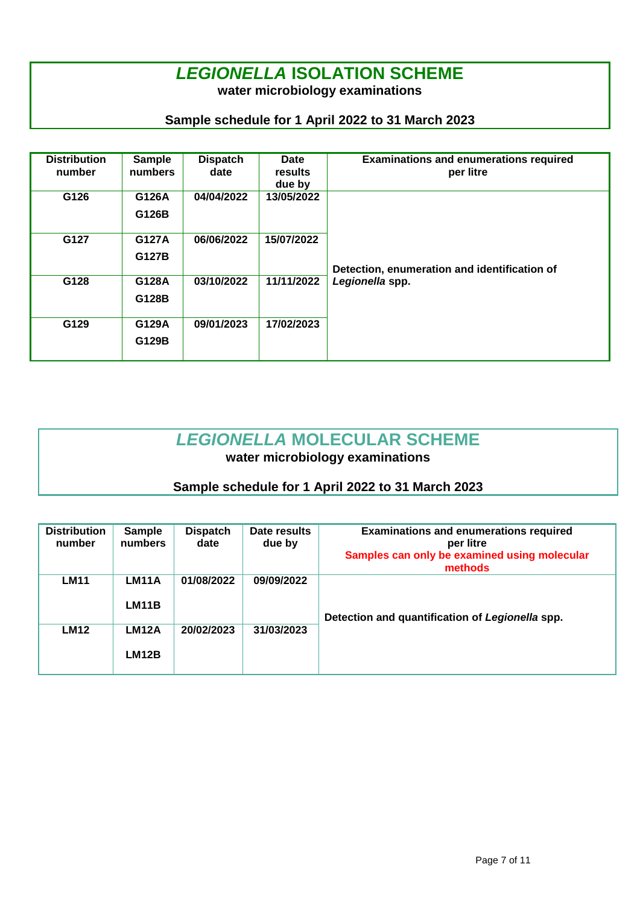## *LEGIONELLA* **ISOLATION SCHEME**

**water microbiology examinations**

#### **Sample schedule for 1 April 2022 to 31 March 2023**

| <b>Distribution</b><br>number | <b>Sample</b><br>numbers | <b>Dispatch</b><br>date | Date<br>results<br>due by | <b>Examinations and enumerations required</b><br>per litre |
|-------------------------------|--------------------------|-------------------------|---------------------------|------------------------------------------------------------|
| G126                          | G126A<br>G126B           | 04/04/2022              | 13/05/2022                |                                                            |
| G127                          | G127A<br>G127B           | 06/06/2022              | 15/07/2022                | Detection, enumeration and identification of               |
| G128                          | G128A<br>G128B           | 03/10/2022              | 11/11/2022                | Legionella spp.                                            |
| G129                          | G129A<br>G129B           | 09/01/2023              | 17/02/2023                |                                                            |

# *LEGIONELLA* **MOLECULAR SCHEME**

**water microbiology examinations**

| <b>Distribution</b><br>number | <b>Sample</b><br>numbers | <b>Dispatch</b><br>date | Date results<br>due by | <b>Examinations and enumerations required</b><br>per litre<br>Samples can only be examined using molecular<br>methods |
|-------------------------------|--------------------------|-------------------------|------------------------|-----------------------------------------------------------------------------------------------------------------------|
| <b>LM11</b>                   | LM11A<br>LM11B           | 01/08/2022              | 09/09/2022             | Detection and quantification of Legionella spp.                                                                       |
| <b>LM12</b>                   | LM12A<br>LM12B           | 20/02/2023              | 31/03/2023             |                                                                                                                       |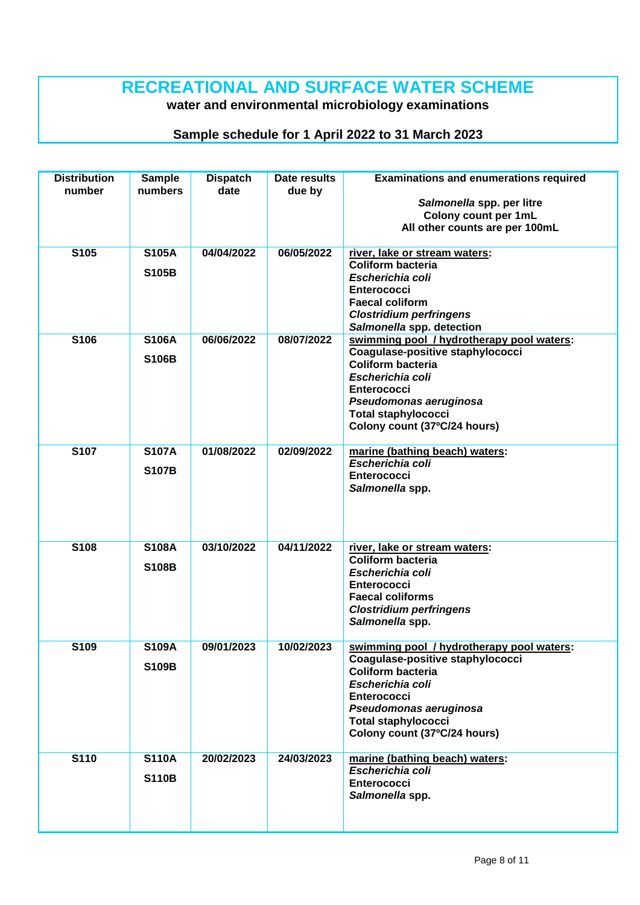### **RECREATIONAL AND SURFACE WATER SCHEME**

**water and environmental microbiology examinations**

| <b>Distribution</b><br>number | <b>Sample</b><br>numbers     | <b>Dispatch</b><br>date | Date results<br>due by | <b>Examinations and enumerations required</b><br>Salmonella spp. per litre<br>Colony count per 1mL<br>All other counts are per 100mL                                                                                                        |
|-------------------------------|------------------------------|-------------------------|------------------------|---------------------------------------------------------------------------------------------------------------------------------------------------------------------------------------------------------------------------------------------|
| S105                          | <b>S105A</b><br><b>S105B</b> | 04/04/2022              | 06/05/2022             | river, lake or stream waters:<br><b>Coliform bacteria</b><br>Escherichia coli<br><b>Enterococci</b><br><b>Faecal coliform</b><br><b>Clostridium perfringens</b><br>Salmonella spp. detection                                                |
| S106                          | <b>S106A</b><br><b>S106B</b> | 06/06/2022              | 08/07/2022             | swimming pool / hydrotherapy pool waters:<br>Coagulase-positive staphylococci<br><b>Coliform bacteria</b><br>Escherichia coli<br><b>Enterococci</b><br>Pseudomonas aeruginosa<br><b>Total staphylococci</b><br>Colony count (37°C/24 hours) |
| <b>S107</b>                   | <b>S107A</b><br><b>S107B</b> | 01/08/2022              | 02/09/2022             | marine (bathing beach) waters:<br>Escherichia coli<br><b>Enterococci</b><br>Salmonella spp.                                                                                                                                                 |
| S108                          | <b>S108A</b><br><b>S108B</b> | 03/10/2022              | 04/11/2022             | river, lake or stream waters:<br><b>Coliform bacteria</b><br>Escherichia coli<br><b>Enterococci</b><br><b>Faecal coliforms</b><br><b>Clostridium perfringens</b><br>Salmonella spp.                                                         |
| S109                          | <b>S109A</b><br><b>S109B</b> | 09/01/2023              | 10/02/2023             | swimming pool / hydrotherapy pool waters:<br>Coagulase-positive staphylococci<br><b>Coliform bacteria</b><br>Escherichia coli<br><b>Enterococci</b><br>Pseudomonas aeruginosa<br><b>Total staphylococci</b><br>Colony count (37°C/24 hours) |
| S110                          | <b>S110A</b><br><b>S110B</b> | 20/02/2023              | 24/03/2023             | marine (bathing beach) waters:<br>Escherichia coli<br><b>Enterococci</b><br>Salmonella spp.                                                                                                                                                 |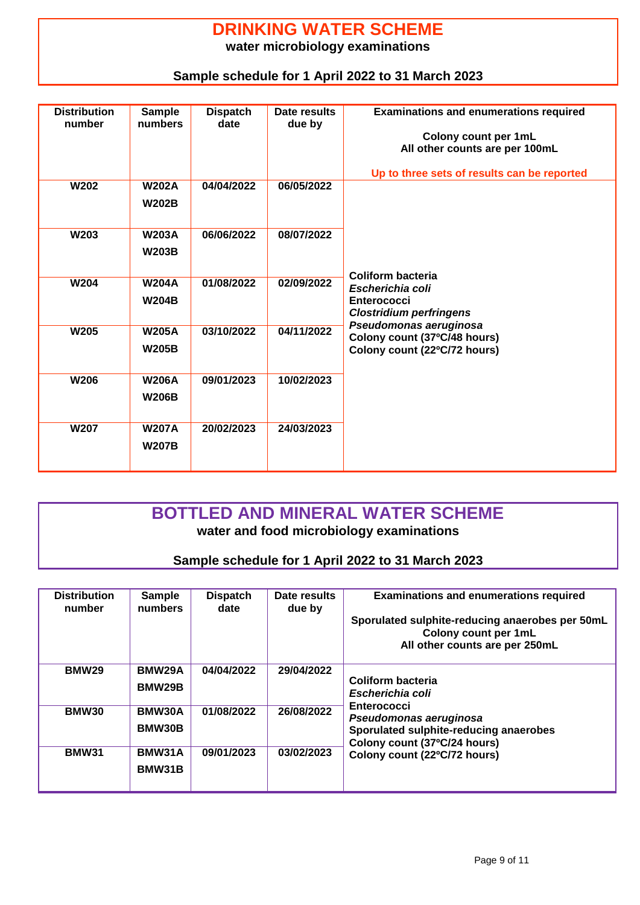#### **DRINKING WATER SCHEME water microbiology examinations**

#### **Sample schedule for 1 April 2022 to 31 March 2023**

| <b>Distribution</b><br>number | <b>Sample</b><br>numbers     | <b>Dispatch</b><br>date | Date results<br>due by | <b>Examinations and enumerations required</b><br>Colony count per 1mL<br>All other counts are per 100mL<br>Up to three sets of results can be reported |
|-------------------------------|------------------------------|-------------------------|------------------------|--------------------------------------------------------------------------------------------------------------------------------------------------------|
| <b>W202</b>                   | <b>W202A</b><br><b>W202B</b> | 04/04/2022              | 06/05/2022             |                                                                                                                                                        |
| <b>W203</b>                   | <b>W203A</b><br><b>W203B</b> | 06/06/2022              | 08/07/2022             |                                                                                                                                                        |
| <b>W204</b>                   | <b>W204A</b><br><b>W204B</b> | 01/08/2022              | 02/09/2022             | Coliform bacteria<br>Escherichia coli<br><b>Enterococci</b><br><b>Clostridium perfringens</b>                                                          |
| <b>W205</b>                   | <b>W205A</b><br><b>W205B</b> | 03/10/2022              | 04/11/2022             | Pseudomonas aeruginosa<br>Colony count (37°C/48 hours)<br>Colony count (22°C/72 hours)                                                                 |
| <b>W206</b>                   | <b>W206A</b><br><b>W206B</b> | 09/01/2023              | 10/02/2023             |                                                                                                                                                        |
| <b>W207</b>                   | <b>W207A</b><br><b>W207B</b> | 20/02/2023              | 24/03/2023             |                                                                                                                                                        |

#### **BOTTLED AND MINERAL WATER SCHEME water and food microbiology examinations**

| <b>Distribution</b><br>number | Sample<br>numbers       | <b>Dispatch</b><br>date | Date results<br>due by | <b>Examinations and enumerations required</b><br>Sporulated sulphite-reducing anaerobes per 50mL<br>Colony count per 1mL<br>All other counts are per 250mL |
|-------------------------------|-------------------------|-------------------------|------------------------|------------------------------------------------------------------------------------------------------------------------------------------------------------|
| <b>BMW29</b>                  | BMW29A<br>BMW29B        | 04/04/2022              | 29/04/2022             | Coliform bacteria<br>Escherichia coli                                                                                                                      |
| <b>BMW30</b>                  | BMW30A<br><b>BMW30B</b> | 01/08/2022              | 26/08/2022             | <b>Enterococci</b><br>Pseudomonas aeruginosa<br>Sporulated sulphite-reducing anaerobes<br>Colony count (37°C/24 hours)                                     |
| <b>BMW31</b>                  | BMW31A<br>BMW31B        | 09/01/2023              | 03/02/2023             | Colony count (22°C/72 hours)                                                                                                                               |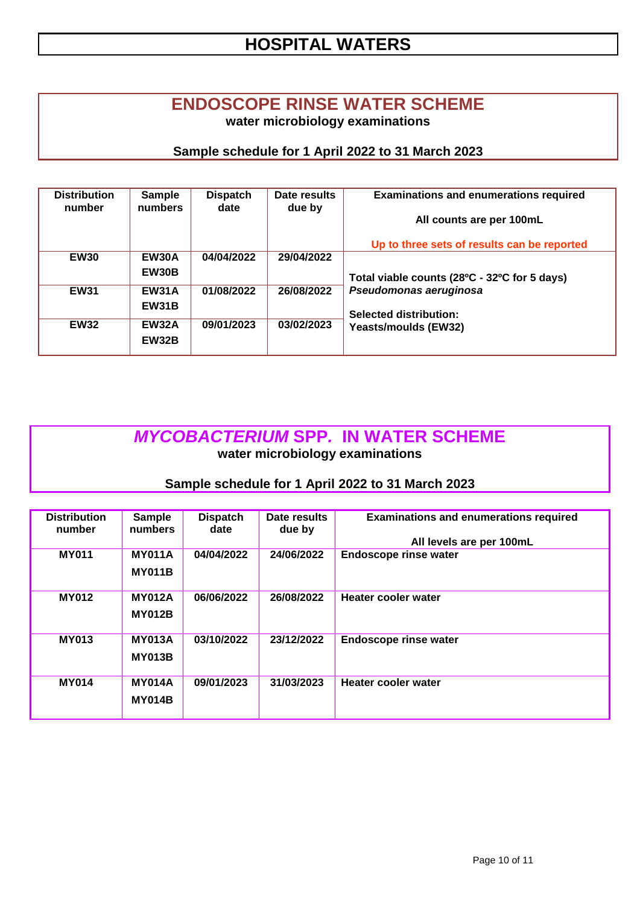### **HOSPITAL WATERS**

#### **ENDOSCOPE RINSE WATER SCHEME water microbiology examinations**

#### **Sample schedule for 1 April 2022 to 31 March 2023**

| <b>Distribution</b><br>number | Sample<br>numbers            | <b>Dispatch</b><br>date | Date results<br>due by | <b>Examinations and enumerations required</b>           |
|-------------------------------|------------------------------|-------------------------|------------------------|---------------------------------------------------------|
|                               |                              |                         |                        | All counts are per 100mL                                |
|                               |                              |                         |                        | Up to three sets of results can be reported             |
| <b>EW30</b>                   | <b>EW30A</b><br>EW30B        | 04/04/2022              | 29/04/2022             | Total viable counts (28°C - 32°C for 5 days)            |
| <b>EW31</b>                   | <b>EW31A</b><br><b>EW31B</b> | 01/08/2022              | 26/08/2022             | Pseudomonas aeruginosa<br><b>Selected distribution:</b> |
| <b>EW32</b>                   | <b>EW32A</b><br><b>EW32B</b> | 09/01/2023              | 03/02/2023             | Yeasts/moulds (EW32)                                    |

#### *MYCOBACTERIUM* **SPP***.* **IN WATER SCHEME water microbiology examinations**

| <b>Distribution</b><br>number | <b>Sample</b><br>numbers | <b>Dispatch</b><br>date | Date results<br>due by | <b>Examinations and enumerations required</b> |
|-------------------------------|--------------------------|-------------------------|------------------------|-----------------------------------------------|
|                               |                          |                         |                        | All levels are per 100mL                      |
| <b>MY011</b>                  | <b>MY011A</b>            | 04/04/2022              | 24/06/2022             | <b>Endoscope rinse water</b>                  |
|                               | <b>MY011B</b>            |                         |                        |                                               |
| <b>MY012</b>                  | <b>MY012A</b>            | 06/06/2022              | 26/08/2022             | Heater cooler water                           |
|                               | <b>MY012B</b>            |                         |                        |                                               |
| <b>MY013</b>                  | <b>MY013A</b>            | 03/10/2022              | 23/12/2022             | <b>Endoscope rinse water</b>                  |
|                               | <b>MY013B</b>            |                         |                        |                                               |
| <b>MY014</b>                  | <b>MY014A</b>            | 09/01/2023              | 31/03/2023             | Heater cooler water                           |
|                               |                          |                         |                        |                                               |
|                               | <b>MY014B</b>            |                         |                        |                                               |